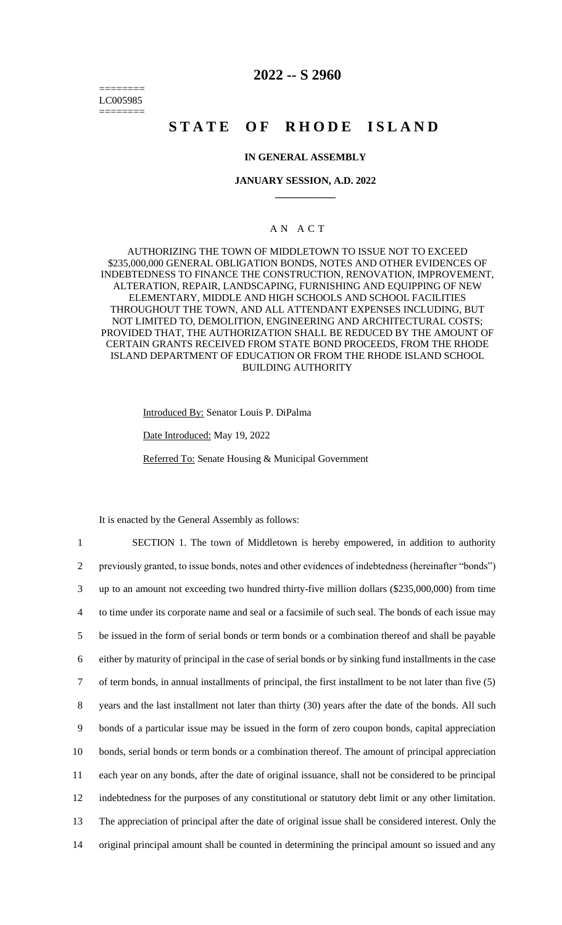======== LC005985 ========

## **2022 -- S 2960**

# **STATE OF RHODE ISLAND**

## **IN GENERAL ASSEMBLY**

### **JANUARY SESSION, A.D. 2022 \_\_\_\_\_\_\_\_\_\_\_\_**

## A N A C T

AUTHORIZING THE TOWN OF MIDDLETOWN TO ISSUE NOT TO EXCEED \$235,000,000 GENERAL OBLIGATION BONDS, NOTES AND OTHER EVIDENCES OF INDEBTEDNESS TO FINANCE THE CONSTRUCTION, RENOVATION, IMPROVEMENT, ALTERATION, REPAIR, LANDSCAPING, FURNISHING AND EQUIPPING OF NEW ELEMENTARY, MIDDLE AND HIGH SCHOOLS AND SCHOOL FACILITIES THROUGHOUT THE TOWN, AND ALL ATTENDANT EXPENSES INCLUDING, BUT NOT LIMITED TO, DEMOLITION, ENGINEERING AND ARCHITECTURAL COSTS; PROVIDED THAT, THE AUTHORIZATION SHALL BE REDUCED BY THE AMOUNT OF CERTAIN GRANTS RECEIVED FROM STATE BOND PROCEEDS, FROM THE RHODE ISLAND DEPARTMENT OF EDUCATION OR FROM THE RHODE ISLAND SCHOOL BUILDING AUTHORITY

Introduced By: Senator Louis P. DiPalma

Date Introduced: May 19, 2022

Referred To: Senate Housing & Municipal Government

It is enacted by the General Assembly as follows:

 SECTION 1. The town of Middletown is hereby empowered, in addition to authority previously granted, to issue bonds, notes and other evidences of indebtedness (hereinafter "bonds") up to an amount not exceeding two hundred thirty-five million dollars (\$235,000,000) from time to time under its corporate name and seal or a facsimile of such seal. The bonds of each issue may be issued in the form of serial bonds or term bonds or a combination thereof and shall be payable either by maturity of principal in the case of serial bonds or by sinking fund installments in the case of term bonds, in annual installments of principal, the first installment to be not later than five (5) years and the last installment not later than thirty (30) years after the date of the bonds. All such bonds of a particular issue may be issued in the form of zero coupon bonds, capital appreciation bonds, serial bonds or term bonds or a combination thereof. The amount of principal appreciation each year on any bonds, after the date of original issuance, shall not be considered to be principal indebtedness for the purposes of any constitutional or statutory debt limit or any other limitation. The appreciation of principal after the date of original issue shall be considered interest. Only the original principal amount shall be counted in determining the principal amount so issued and any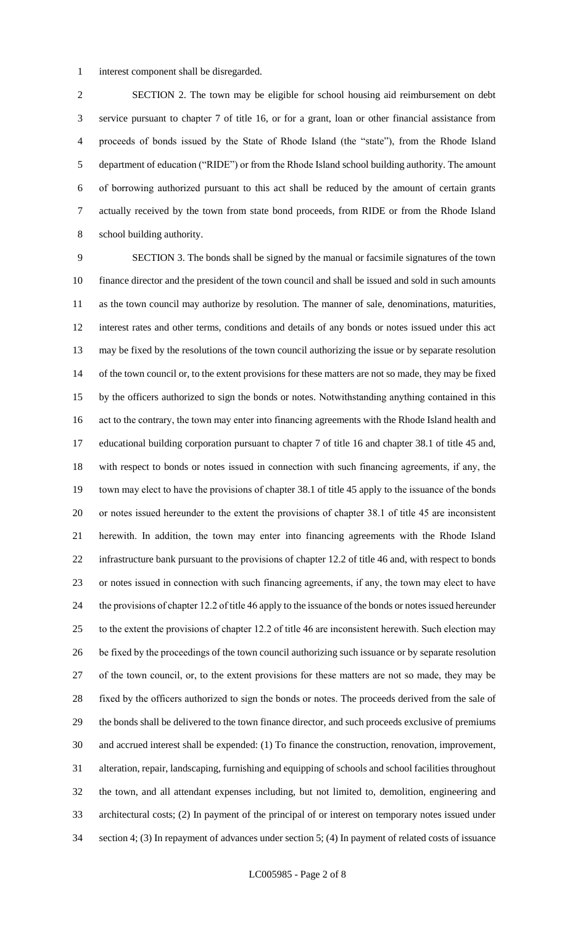interest component shall be disregarded.

 SECTION 2. The town may be eligible for school housing aid reimbursement on debt service pursuant to chapter 7 of title 16, or for a grant, loan or other financial assistance from proceeds of bonds issued by the State of Rhode Island (the "state"), from the Rhode Island department of education ("RIDE") or from the Rhode Island school building authority. The amount of borrowing authorized pursuant to this act shall be reduced by the amount of certain grants actually received by the town from state bond proceeds, from RIDE or from the Rhode Island school building authority.

 SECTION 3. The bonds shall be signed by the manual or facsimile signatures of the town finance director and the president of the town council and shall be issued and sold in such amounts as the town council may authorize by resolution. The manner of sale, denominations, maturities, interest rates and other terms, conditions and details of any bonds or notes issued under this act may be fixed by the resolutions of the town council authorizing the issue or by separate resolution 14 of the town council or, to the extent provisions for these matters are not so made, they may be fixed by the officers authorized to sign the bonds or notes. Notwithstanding anything contained in this act to the contrary, the town may enter into financing agreements with the Rhode Island health and educational building corporation pursuant to chapter 7 of title 16 and chapter 38.1 of title 45 and, with respect to bonds or notes issued in connection with such financing agreements, if any, the town may elect to have the provisions of chapter 38.1 of title 45 apply to the issuance of the bonds or notes issued hereunder to the extent the provisions of chapter 38.1 of title 45 are inconsistent herewith. In addition, the town may enter into financing agreements with the Rhode Island infrastructure bank pursuant to the provisions of chapter 12.2 of title 46 and, with respect to bonds or notes issued in connection with such financing agreements, if any, the town may elect to have the provisions of chapter 12.2 of title 46 apply to the issuance of the bonds or notes issued hereunder to the extent the provisions of chapter 12.2 of title 46 are inconsistent herewith. Such election may be fixed by the proceedings of the town council authorizing such issuance or by separate resolution of the town council, or, to the extent provisions for these matters are not so made, they may be fixed by the officers authorized to sign the bonds or notes. The proceeds derived from the sale of the bonds shall be delivered to the town finance director, and such proceeds exclusive of premiums and accrued interest shall be expended: (1) To finance the construction, renovation, improvement, alteration, repair, landscaping, furnishing and equipping of schools and school facilities throughout the town, and all attendant expenses including, but not limited to, demolition, engineering and architectural costs; (2) In payment of the principal of or interest on temporary notes issued under section 4; (3) In repayment of advances under section 5; (4) In payment of related costs of issuance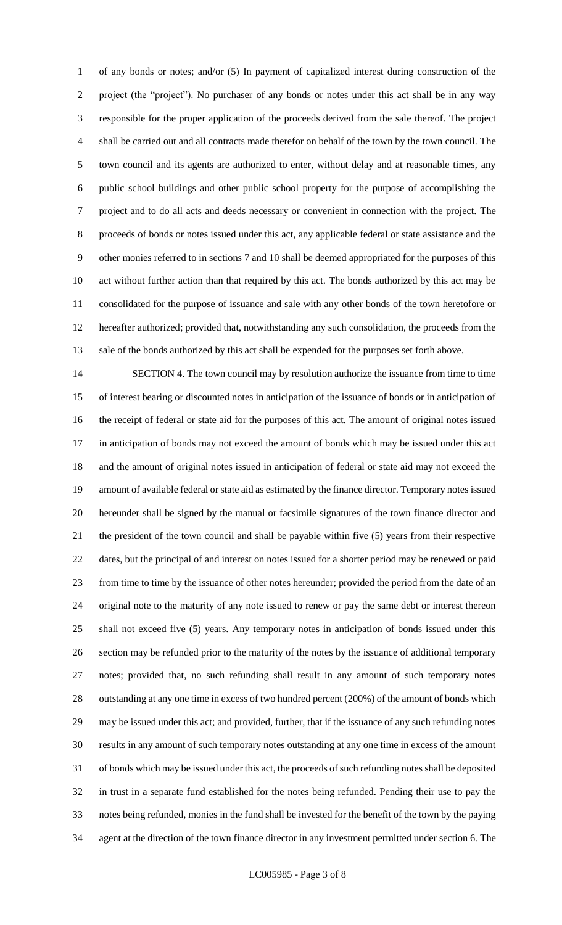of any bonds or notes; and/or (5) In payment of capitalized interest during construction of the project (the "project"). No purchaser of any bonds or notes under this act shall be in any way responsible for the proper application of the proceeds derived from the sale thereof. The project shall be carried out and all contracts made therefor on behalf of the town by the town council. The town council and its agents are authorized to enter, without delay and at reasonable times, any public school buildings and other public school property for the purpose of accomplishing the project and to do all acts and deeds necessary or convenient in connection with the project. The proceeds of bonds or notes issued under this act, any applicable federal or state assistance and the other monies referred to in sections 7 and 10 shall be deemed appropriated for the purposes of this act without further action than that required by this act. The bonds authorized by this act may be consolidated for the purpose of issuance and sale with any other bonds of the town heretofore or hereafter authorized; provided that, notwithstanding any such consolidation, the proceeds from the sale of the bonds authorized by this act shall be expended for the purposes set forth above.

 SECTION 4. The town council may by resolution authorize the issuance from time to time of interest bearing or discounted notes in anticipation of the issuance of bonds or in anticipation of the receipt of federal or state aid for the purposes of this act. The amount of original notes issued in anticipation of bonds may not exceed the amount of bonds which may be issued under this act and the amount of original notes issued in anticipation of federal or state aid may not exceed the amount of available federal or state aid as estimated by the finance director. Temporary notes issued hereunder shall be signed by the manual or facsimile signatures of the town finance director and the president of the town council and shall be payable within five (5) years from their respective dates, but the principal of and interest on notes issued for a shorter period may be renewed or paid from time to time by the issuance of other notes hereunder; provided the period from the date of an original note to the maturity of any note issued to renew or pay the same debt or interest thereon shall not exceed five (5) years. Any temporary notes in anticipation of bonds issued under this section may be refunded prior to the maturity of the notes by the issuance of additional temporary notes; provided that, no such refunding shall result in any amount of such temporary notes outstanding at any one time in excess of two hundred percent (200%) of the amount of bonds which may be issued under this act; and provided, further, that if the issuance of any such refunding notes results in any amount of such temporary notes outstanding at any one time in excess of the amount of bonds which may be issued under this act, the proceeds of such refunding notes shall be deposited in trust in a separate fund established for the notes being refunded. Pending their use to pay the notes being refunded, monies in the fund shall be invested for the benefit of the town by the paying agent at the direction of the town finance director in any investment permitted under section 6. The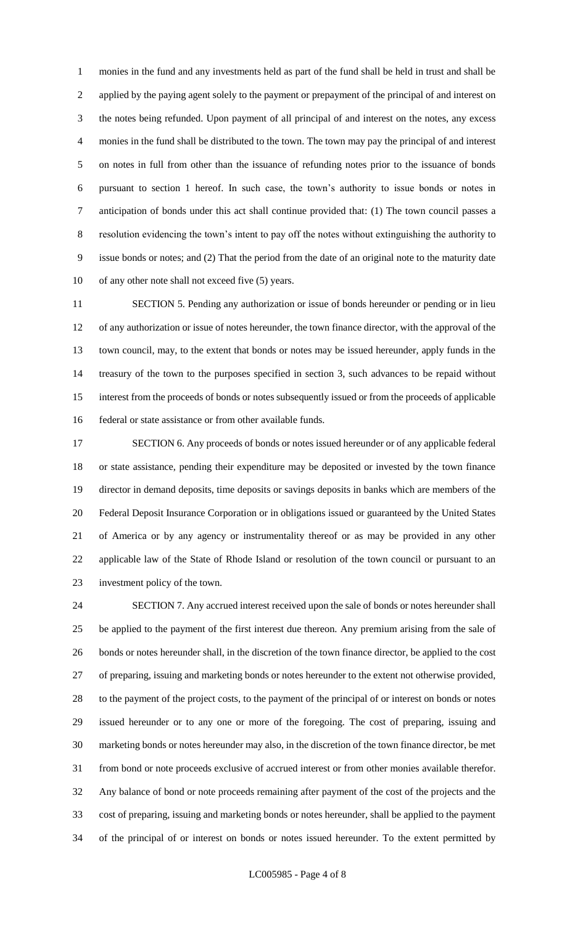monies in the fund and any investments held as part of the fund shall be held in trust and shall be applied by the paying agent solely to the payment or prepayment of the principal of and interest on the notes being refunded. Upon payment of all principal of and interest on the notes, any excess monies in the fund shall be distributed to the town. The town may pay the principal of and interest on notes in full from other than the issuance of refunding notes prior to the issuance of bonds pursuant to section 1 hereof. In such case, the town's authority to issue bonds or notes in anticipation of bonds under this act shall continue provided that: (1) The town council passes a resolution evidencing the town's intent to pay off the notes without extinguishing the authority to issue bonds or notes; and (2) That the period from the date of an original note to the maturity date of any other note shall not exceed five (5) years.

 SECTION 5. Pending any authorization or issue of bonds hereunder or pending or in lieu of any authorization or issue of notes hereunder, the town finance director, with the approval of the town council, may, to the extent that bonds or notes may be issued hereunder, apply funds in the treasury of the town to the purposes specified in section 3, such advances to be repaid without interest from the proceeds of bonds or notes subsequently issued or from the proceeds of applicable federal or state assistance or from other available funds.

 SECTION 6. Any proceeds of bonds or notes issued hereunder or of any applicable federal or state assistance, pending their expenditure may be deposited or invested by the town finance director in demand deposits, time deposits or savings deposits in banks which are members of the Federal Deposit Insurance Corporation or in obligations issued or guaranteed by the United States of America or by any agency or instrumentality thereof or as may be provided in any other applicable law of the State of Rhode Island or resolution of the town council or pursuant to an investment policy of the town.

 SECTION 7. Any accrued interest received upon the sale of bonds or notes hereunder shall be applied to the payment of the first interest due thereon. Any premium arising from the sale of bonds or notes hereunder shall, in the discretion of the town finance director, be applied to the cost of preparing, issuing and marketing bonds or notes hereunder to the extent not otherwise provided, to the payment of the project costs, to the payment of the principal of or interest on bonds or notes issued hereunder or to any one or more of the foregoing. The cost of preparing, issuing and marketing bonds or notes hereunder may also, in the discretion of the town finance director, be met from bond or note proceeds exclusive of accrued interest or from other monies available therefor. Any balance of bond or note proceeds remaining after payment of the cost of the projects and the cost of preparing, issuing and marketing bonds or notes hereunder, shall be applied to the payment of the principal of or interest on bonds or notes issued hereunder. To the extent permitted by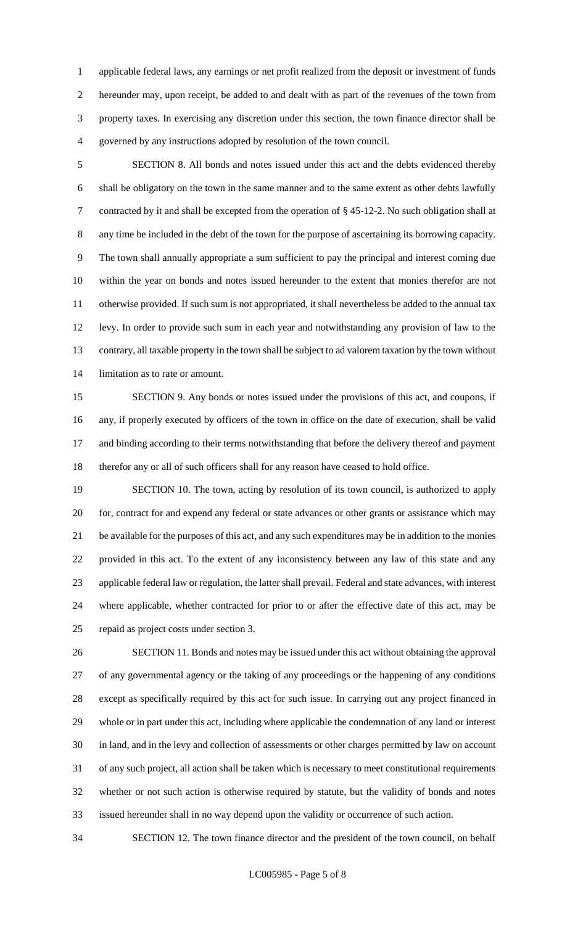applicable federal laws, any earnings or net profit realized from the deposit or investment of funds hereunder may, upon receipt, be added to and dealt with as part of the revenues of the town from property taxes. In exercising any discretion under this section, the town finance director shall be governed by any instructions adopted by resolution of the town council.

 SECTION 8. All bonds and notes issued under this act and the debts evidenced thereby shall be obligatory on the town in the same manner and to the same extent as other debts lawfully contracted by it and shall be excepted from the operation of § 45-12-2. No such obligation shall at any time be included in the debt of the town for the purpose of ascertaining its borrowing capacity. The town shall annually appropriate a sum sufficient to pay the principal and interest coming due within the year on bonds and notes issued hereunder to the extent that monies therefor are not otherwise provided. If such sum is not appropriated, it shall nevertheless be added to the annual tax levy. In order to provide such sum in each year and notwithstanding any provision of law to the contrary, all taxable property in the town shall be subject to ad valorem taxation by the town without limitation as to rate or amount.

 SECTION 9. Any bonds or notes issued under the provisions of this act, and coupons, if any, if properly executed by officers of the town in office on the date of execution, shall be valid 17 and binding according to their terms notwithstanding that before the delivery thereof and payment therefor any or all of such officers shall for any reason have ceased to hold office.

19 SECTION 10. The town, acting by resolution of its town council, is authorized to apply for, contract for and expend any federal or state advances or other grants or assistance which may be available for the purposes of this act, and any such expenditures may be in addition to the monies provided in this act. To the extent of any inconsistency between any law of this state and any applicable federal law or regulation, the latter shall prevail. Federal and state advances, with interest where applicable, whether contracted for prior to or after the effective date of this act, may be repaid as project costs under section 3.

 SECTION 11. Bonds and notes may be issued under this act without obtaining the approval of any governmental agency or the taking of any proceedings or the happening of any conditions except as specifically required by this act for such issue. In carrying out any project financed in whole or in part under this act, including where applicable the condemnation of any land or interest in land, and in the levy and collection of assessments or other charges permitted by law on account of any such project, all action shall be taken which is necessary to meet constitutional requirements whether or not such action is otherwise required by statute, but the validity of bonds and notes issued hereunder shall in no way depend upon the validity or occurrence of such action.

SECTION 12. The town finance director and the president of the town council, on behalf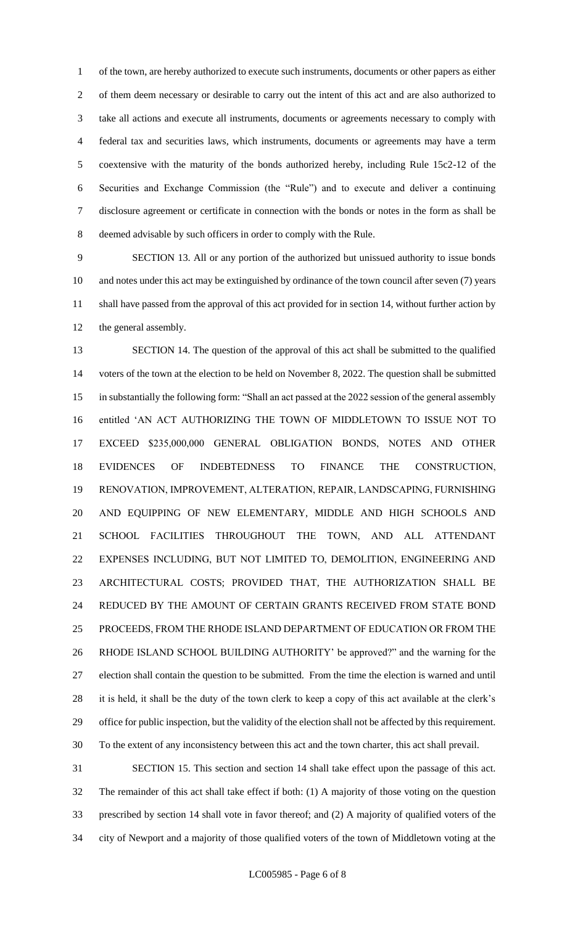of the town, are hereby authorized to execute such instruments, documents or other papers as either of them deem necessary or desirable to carry out the intent of this act and are also authorized to take all actions and execute all instruments, documents or agreements necessary to comply with federal tax and securities laws, which instruments, documents or agreements may have a term coextensive with the maturity of the bonds authorized hereby, including Rule 15c2-12 of the Securities and Exchange Commission (the "Rule") and to execute and deliver a continuing disclosure agreement or certificate in connection with the bonds or notes in the form as shall be deemed advisable by such officers in order to comply with the Rule.

 SECTION 13. All or any portion of the authorized but unissued authority to issue bonds and notes under this act may be extinguished by ordinance of the town council after seven (7) years shall have passed from the approval of this act provided for in section 14, without further action by the general assembly.

 SECTION 14. The question of the approval of this act shall be submitted to the qualified voters of the town at the election to be held on November 8, 2022. The question shall be submitted in substantially the following form: "Shall an act passed at the 2022 session of the general assembly entitled 'AN ACT AUTHORIZING THE TOWN OF MIDDLETOWN TO ISSUE NOT TO EXCEED \$235,000,000 GENERAL OBLIGATION BONDS, NOTES AND OTHER EVIDENCES OF INDEBTEDNESS TO FINANCE THE CONSTRUCTION, RENOVATION, IMPROVEMENT, ALTERATION, REPAIR, LANDSCAPING, FURNISHING AND EQUIPPING OF NEW ELEMENTARY, MIDDLE AND HIGH SCHOOLS AND SCHOOL FACILITIES THROUGHOUT THE TOWN, AND ALL ATTENDANT EXPENSES INCLUDING, BUT NOT LIMITED TO, DEMOLITION, ENGINEERING AND ARCHITECTURAL COSTS; PROVIDED THAT, THE AUTHORIZATION SHALL BE REDUCED BY THE AMOUNT OF CERTAIN GRANTS RECEIVED FROM STATE BOND PROCEEDS, FROM THE RHODE ISLAND DEPARTMENT OF EDUCATION OR FROM THE RHODE ISLAND SCHOOL BUILDING AUTHORITY' be approved?" and the warning for the election shall contain the question to be submitted. From the time the election is warned and until it is held, it shall be the duty of the town clerk to keep a copy of this act available at the clerk's office for public inspection, but the validity of the election shall not be affected by this requirement. To the extent of any inconsistency between this act and the town charter, this act shall prevail.

 SECTION 15. This section and section 14 shall take effect upon the passage of this act. The remainder of this act shall take effect if both: (1) A majority of those voting on the question prescribed by section 14 shall vote in favor thereof; and (2) A majority of qualified voters of the city of Newport and a majority of those qualified voters of the town of Middletown voting at the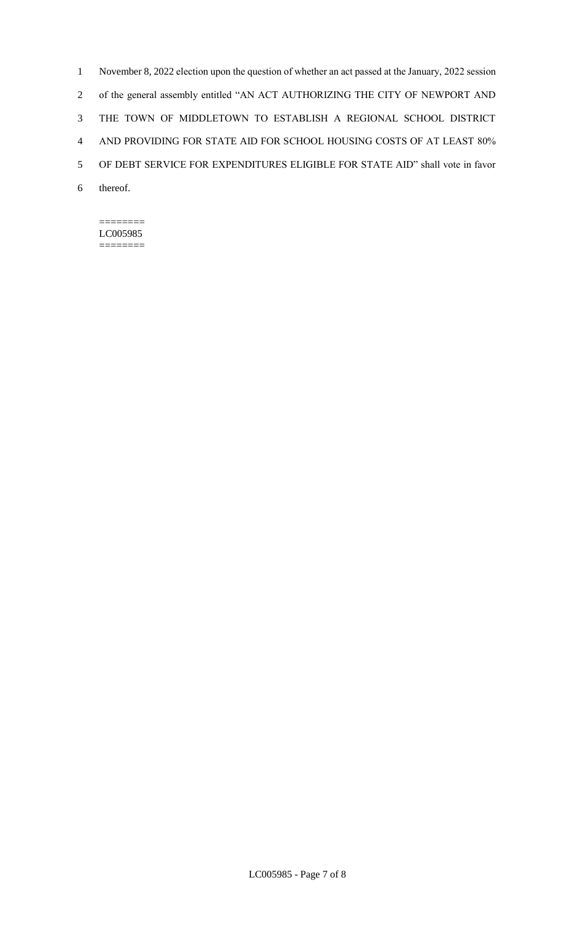November 8, 2022 election upon the question of whether an act passed at the January, 2022 session of the general assembly entitled "AN ACT AUTHORIZING THE CITY OF NEWPORT AND THE TOWN OF MIDDLETOWN TO ESTABLISH A REGIONAL SCHOOL DISTRICT AND PROVIDING FOR STATE AID FOR SCHOOL HOUSING COSTS OF AT LEAST 80% OF DEBT SERVICE FOR EXPENDITURES ELIGIBLE FOR STATE AID" shall vote in favor 6 thereof.

#### ======== LC005985 ========